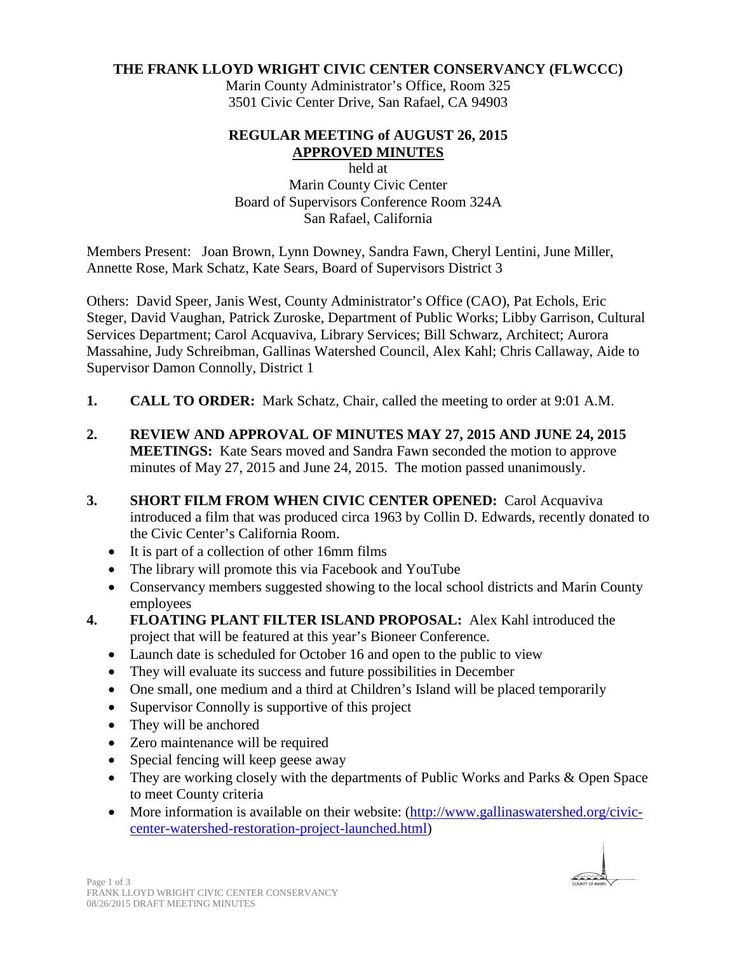## **THE FRANK LLOYD WRIGHT CIVIC CENTER CONSERVANCY (FLWCCC)**

Marin County Administrator's Office, Room 325 3501 Civic Center Drive, San Rafael, CA 94903

## **REGULAR MEETING of AUGUST 26, 2015 APPROVED MINUTES**

held at Marin County Civic Center Board of Supervisors Conference Room 324A San Rafael, California

Members Present: Joan Brown, Lynn Downey, Sandra Fawn, Cheryl Lentini, June Miller, Annette Rose, Mark Schatz, Kate Sears, Board of Supervisors District 3

Others: David Speer, Janis West, County Administrator's Office (CAO), Pat Echols, Eric Steger, David Vaughan, Patrick Zuroske, Department of Public Works; Libby Garrison, Cultural Services Department; Carol Acquaviva, Library Services; Bill Schwarz, Architect; Aurora Massahine, Judy Schreibman, Gallinas Watershed Council, Alex Kahl; Chris Callaway, Aide to Supervisor Damon Connolly, District 1

- **1. CALL TO ORDER:** Mark Schatz, Chair, called the meeting to order at 9:01 A.M.
- **2. REVIEW AND APPROVAL OF MINUTES MAY 27, 2015 AND JUNE 24, 2015 MEETINGS:** Kate Sears moved and Sandra Fawn seconded the motion to approve minutes of May 27, 2015 and June 24, 2015. The motion passed unanimously.
- **3. SHORT FILM FROM WHEN CIVIC CENTER OPENED:** Carol Acquaviva introduced a film that was produced circa 1963 by Collin D. Edwards, recently donated to the Civic Center's California Room.
	- It is part of a collection of other 16mm films
	- The library will promote this via Facebook and YouTube
	- Conservancy members suggested showing to the local school districts and Marin County employees
- **4. FLOATING PLANT FILTER ISLAND PROPOSAL:** Alex Kahl introduced the project that will be featured at this year's Bioneer Conference.
	- Launch date is scheduled for October 16 and open to the public to view
	- They will evaluate its success and future possibilities in December
	- One small, one medium and a third at Children's Island will be placed temporarily
	- Supervisor Connolly is supportive of this project
	- They will be anchored
	- Zero maintenance will be required
	- Special fencing will keep geese away
	- They are working closely with the departments of Public Works and Parks & Open Space to meet County criteria
	- More information is available on their website: [\(http://www.gallinaswatershed.org/civic](http://www.gallinaswatershed.org/civic-center-watershed-restoration-project-launched.html)[center-watershed-restoration-project-launched.html\)](http://www.gallinaswatershed.org/civic-center-watershed-restoration-project-launched.html)

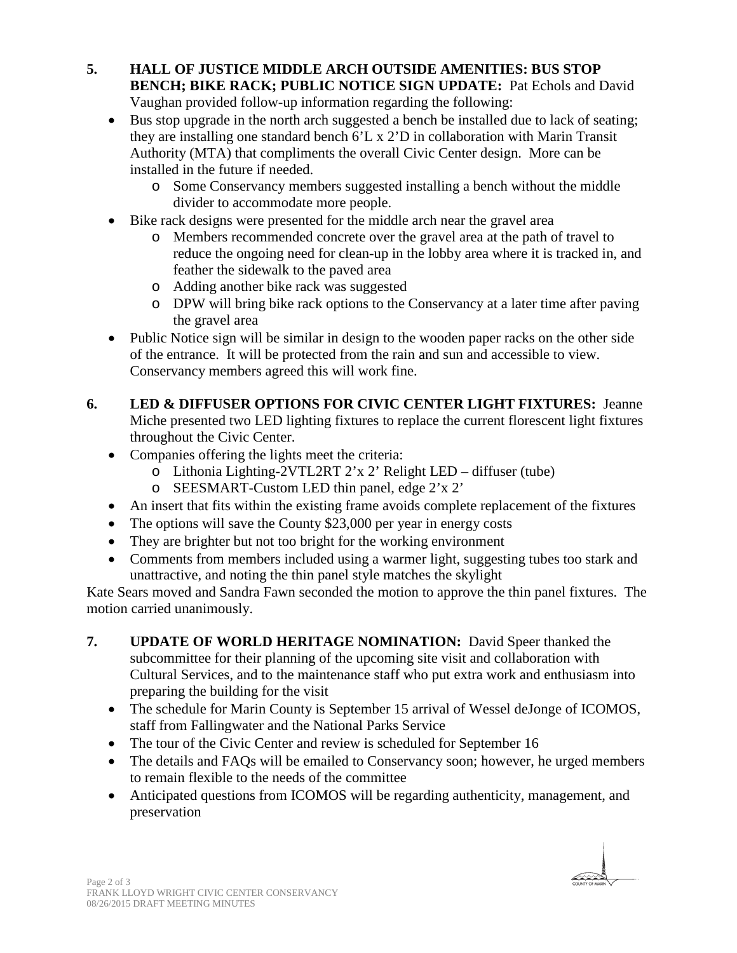- **5. HALL OF JUSTICE MIDDLE ARCH OUTSIDE AMENITIES: BUS STOP BENCH; BIKE RACK; PUBLIC NOTICE SIGN UPDATE:** Pat Echols and David Vaughan provided follow-up information regarding the following:
	- Bus stop upgrade in the north arch suggested a bench be installed due to lack of seating; they are installing one standard bench 6'L x 2'D in collaboration with Marin Transit Authority (MTA) that compliments the overall Civic Center design. More can be installed in the future if needed.
		- o Some Conservancy members suggested installing a bench without the middle divider to accommodate more people.
	- Bike rack designs were presented for the middle arch near the gravel area
		- o Members recommended concrete over the gravel area at the path of travel to reduce the ongoing need for clean-up in the lobby area where it is tracked in, and feather the sidewalk to the paved area
		- o Adding another bike rack was suggested
		- o DPW will bring bike rack options to the Conservancy at a later time after paving the gravel area
	- Public Notice sign will be similar in design to the wooden paper racks on the other side of the entrance. It will be protected from the rain and sun and accessible to view. Conservancy members agreed this will work fine.
- **6. LED & DIFFUSER OPTIONS FOR CIVIC CENTER LIGHT FIXTURES:** Jeanne Miche presented two LED lighting fixtures to replace the current florescent light fixtures throughout the Civic Center.
	- Companies offering the lights meet the criteria:
		- o Lithonia Lighting-2VTL2RT 2'x 2' Relight LED diffuser (tube)
		- o SEESMART-Custom LED thin panel, edge 2'x 2'
	- An insert that fits within the existing frame avoids complete replacement of the fixtures
	- The options will save the County \$23,000 per year in energy costs
	- They are brighter but not too bright for the working environment
	- Comments from members included using a warmer light, suggesting tubes too stark and unattractive, and noting the thin panel style matches the skylight

Kate Sears moved and Sandra Fawn seconded the motion to approve the thin panel fixtures. The motion carried unanimously.

- **7. UPDATE OF WORLD HERITAGE NOMINATION:** David Speer thanked the subcommittee for their planning of the upcoming site visit and collaboration with Cultural Services, and to the maintenance staff who put extra work and enthusiasm into preparing the building for the visit
	- The schedule for Marin County is September 15 arrival of Wessel deJonge of ICOMOS, staff from Fallingwater and the National Parks Service
	- The tour of the Civic Center and review is scheduled for September 16
	- The details and FAQs will be emailed to Conservancy soon; however, he urged members to remain flexible to the needs of the committee
	- Anticipated questions from ICOMOS will be regarding authenticity, management, and preservation